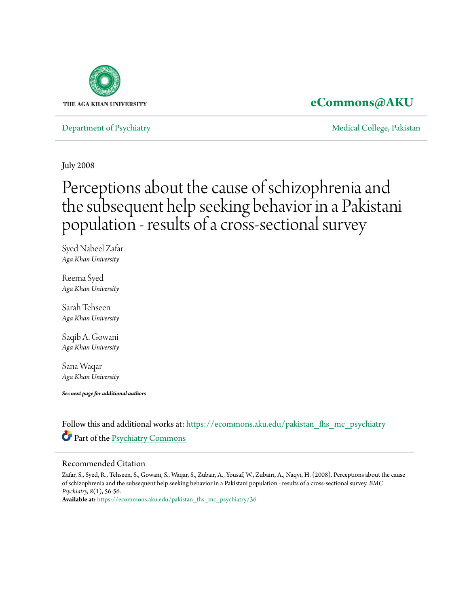

# **[eCommons@AKU](https://ecommons.aku.edu?utm_source=ecommons.aku.edu%2Fpakistan_fhs_mc_psychiatry%2F36&utm_medium=PDF&utm_campaign=PDFCoverPages)**

[Department of Psychiatry](https://ecommons.aku.edu/pakistan_fhs_mc_psychiatry?utm_source=ecommons.aku.edu%2Fpakistan_fhs_mc_psychiatry%2F36&utm_medium=PDF&utm_campaign=PDFCoverPages) New York 1999, Pakistan [Medical College, Pakistan](https://ecommons.aku.edu/pakistan_fhs_mc?utm_source=ecommons.aku.edu%2Fpakistan_fhs_mc_psychiatry%2F36&utm_medium=PDF&utm_campaign=PDFCoverPages) New York 1999, Pakistan New York 1999, Pakistan New York 1999, Pakistan New York 1999, Pakistan New York 1999, Pakistan New York 1999, Pakistan New

July 2008

# Perceptions about the cause of schizophrenia and the subsequent help seeking behavior in a Pakistani population - results of a cross-sectional survey

Syed Nabeel Zafar *Aga Khan University*

Reema Syed *Aga Khan University*

Sarah Tehseen *Aga Khan University*

Saqib A. Gowani *Aga Khan University*

Sana Waqar *Aga Khan University*

*See next page for additional authors*

Follow this and additional works at: [https://ecommons.aku.edu/pakistan\\_fhs\\_mc\\_psychiatry](https://ecommons.aku.edu/pakistan_fhs_mc_psychiatry?utm_source=ecommons.aku.edu%2Fpakistan_fhs_mc_psychiatry%2F36&utm_medium=PDF&utm_campaign=PDFCoverPages) Part of the [Psychiatry Commons](http://network.bepress.com/hgg/discipline/704?utm_source=ecommons.aku.edu%2Fpakistan_fhs_mc_psychiatry%2F36&utm_medium=PDF&utm_campaign=PDFCoverPages)

#### Recommended Citation

Zafar, S., Syed, R., Tehseen, S., Gowani, S., Waqar, S., Zubair, A., Yousaf, W., Zubairi, A., Naqvi, H. (2008). Perceptions about the cause of schizophrenia and the subsequent help seeking behavior in a Pakistani population - results of a cross-sectional survey. *BMC Psychiatry, 8*(1), 56-56.

**Available at:** [https://ecommons.aku.edu/pakistan\\_fhs\\_mc\\_psychiatry/36](https://ecommons.aku.edu/pakistan_fhs_mc_psychiatry/36)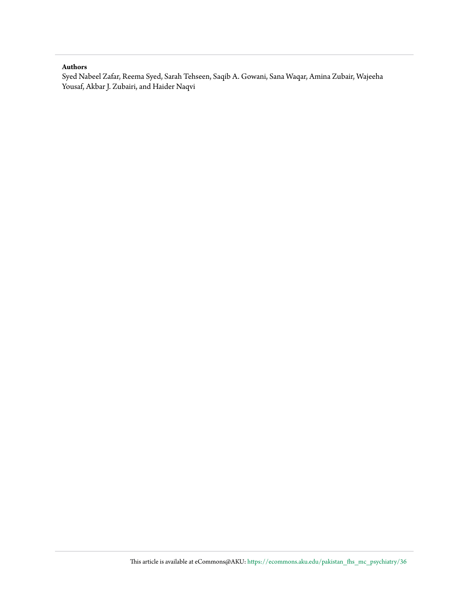#### **Authors**

Syed Nabeel Zafar, Reema Syed, Sarah Tehseen, Saqib A. Gowani, Sana Waqar, Amina Zubair, Wajeeha Yousaf, Akbar J. Zubairi, and Haider Naqvi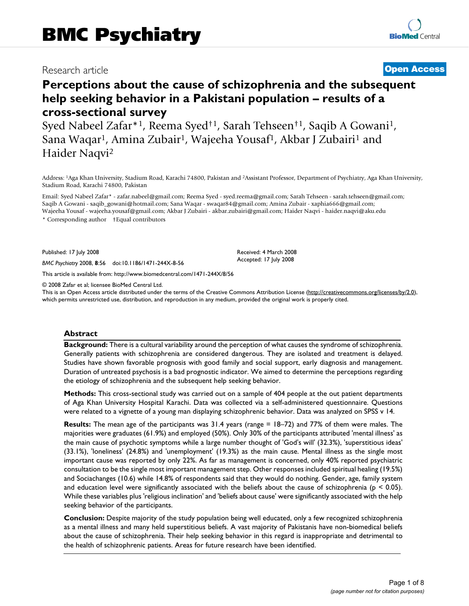### Research article **[Open Access](http://www.biomedcentral.com/info/about/charter/)**

## **Perceptions about the cause of schizophrenia and the subsequent help seeking behavior in a Pakistani population – results of a cross-sectional survey**

Syed Nabeel Zafar\*1, Reema Syed†1, Sarah Tehseen†1, Saqib A Gowani1, Sana Waqar<sup>1</sup>, Amina Zubair<sup>1</sup>, Wajeeha Yousaf<sup>1</sup>, Akbar J Zubairi<sup>1</sup> and Haider Naqvi2

Address: 1Aga Khan University, Stadium Road, Karachi 74800, Pakistan and 2Assistant Professor, Department of Psychiatry, Aga Khan University, Stadium Road, Karachi 74800, Pakistan

Email: Syed Nabeel Zafar\* - zafar.nabeel@gmail.com; Reema Syed - syed.reema@gmail.com; Sarah Tehseen - sarah.tehseen@gmail.com; Saqib A Gowani - saqib gowani@hotmail.com; Sana Waqar - swaqar84@gmail.com; Amina Zubair - xaphia666@gmail.com; Wajeeha Yousaf - wajeeha.yousaf@gmail.com; Akbar J Zubairi - akbar.zubairi@gmail.com; Haider Naqvi - haider.naqvi@aku.edu \* Corresponding author †Equal contributors

Published: 17 July 2008

*BMC Psychiatry* 2008, **8**:56 doi:10.1186/1471-244X-8-56

[This article is available from: http://www.biomedcentral.com/1471-244X/8/56](http://www.biomedcentral.com/1471-244X/8/56)

© 2008 Zafar et al; licensee BioMed Central Ltd.

This is an Open Access article distributed under the terms of the Creative Commons Attribution License [\(http://creativecommons.org/licenses/by/2.0\)](http://creativecommons.org/licenses/by/2.0), which permits unrestricted use, distribution, and reproduction in any medium, provided the original work is properly cited.

Received: 4 March 2008 Accepted: 17 July 2008

#### **Abstract**

**Background:** There is a cultural variability around the perception of what causes the syndrome of schizophrenia. Generally patients with schizophrenia are considered dangerous. They are isolated and treatment is delayed. Studies have shown favorable prognosis with good family and social support, early diagnosis and management. Duration of untreated psychosis is a bad prognostic indicator. We aimed to determine the perceptions regarding the etiology of schizophrenia and the subsequent help seeking behavior.

**Methods:** This cross-sectional study was carried out on a sample of 404 people at the out patient departments of Aga Khan University Hospital Karachi. Data was collected via a self-administered questionnaire. Questions were related to a vignette of a young man displaying schizophrenic behavior. Data was analyzed on SPSS v 14.

**Results:** The mean age of the participants was 31.4 years (range = 18–72) and 77% of them were males. The majorities were graduates (61.9%) and employed (50%). Only 30% of the participants attributed 'mental illness' as the main cause of psychotic symptoms while a large number thought of 'God's will' (32.3%), 'superstitious ideas' (33.1%), 'loneliness' (24.8%) and 'unemployment' (19.3%) as the main cause. Mental illness as the single most important cause was reported by only 22%. As far as management is concerned, only 40% reported psychiatric consultation to be the single most important management step. Other responses included spiritual healing (19.5%) and Sociachanges (10.6) while 14.8% of respondents said that they would do nothing. Gender, age, family system and education level were significantly associated with the beliefs about the cause of schizophrenia ( $p < 0.05$ ). While these variables plus 'religious inclination' and 'beliefs about cause' were significantly associated with the help seeking behavior of the participants.

**Conclusion:** Despite majority of the study population being well educated, only a few recognized schizophrenia as a mental illness and many held superstitious beliefs. A vast majority of Pakistanis have non-biomedical beliefs about the cause of schizophrenia. Their help seeking behavior in this regard is inappropriate and detrimental to the health of schizophrenic patients. Areas for future research have been identified.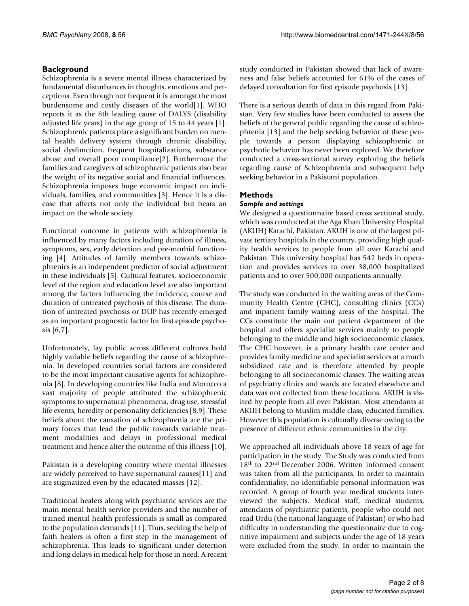#### **Background**

Schizophrenia is a severe mental illness characterized by fundamental disturbances in thoughts, emotions and perceptions. Even though not frequent it is amongst the most burdensome and costly diseases of the world[1]. WHO reports it as the 8th leading cause of DALYS (disability adjusted life years) in the age group of 15 to 44 years [1]. Schizophrenic patients place a significant burden on mental health delivery system through chronic disability, social dysfunction, frequent hospitalizations, substance abuse and overall poor compliance[2]. Furthermore the families and caregivers of schizophrenic patients also bear the weight of its negative social and financial influences. Schizophrenia imposes huge economic impact on individuals, families, and communities [3]. Hence it is a disease that affects not only the individual but bears an impact on the whole society.

Functional outcome in patients with schizophrenia is influenced by many factors including duration of illness, symptoms, sex, early detection and pre-morbid functioning [4]. Attitudes of family members towards schizophrenics is an independent predictor of social adjustment in these individuals [5]. Cultural features, socioeconomic level of the region and education level are also important among the factors influencing the incidence, course and duration of untreated psychosis of this disease. The duration of untreated psychosis or DUP has recently emerged as an important prognostic factor for first episode psychosis [6,7].

Unfortunately, lay public across different cultures hold highly variable beliefs regarding the cause of schizophrenia. In developed countries social factors are considered to be the most important causative agents for schizophrenia [8]. In developing countries like India and Morocco a vast majority of people attributed the schizophrenic symptoms to supernatural phenomena, drug use, stressful life events, heredity or personality deficiencies [8,9]. These beliefs about the causation of schizophrenia are the primary forces that lead the public towards variable treatment modalities and delays in professional medical treatment and hence alter the outcome of this illness [10].

Pakistan is a developing country where mental illnesses are widely perceived to have supernatural causes[11] and are stigmatized even by the educated masses [12].

Traditional healers along with psychiatric services are the main mental health service providers and the number of trained mental health professionals is small as compared to the population demands [11]. Thus, seeking the help of faith healers is often a first step in the management of schizophrenia. This leads to significant under detection and long delays in medical help for those in need. A recent

study conducted in Pakistan showed that lack of awareness and false beliefs accounted for 61% of the cases of delayed consultation for first episode psychosis [13].

There is a serious dearth of data in this regard from Pakistan. Very few studies have been conducted to assess the beliefs of the general public regarding the cause of schizophrenia [13] and the help seeking behavior of these people towards a person displaying schizophrenic or psychotic behavior has never been explored. We therefore conducted a cross-sectional survey exploring the beliefs regarding cause of Schizophrenia and subsequent help seeking behavior in a Pakistani population.

#### **Methods**

#### *Sample and settings*

We designed a questionnaire based cross sectional study, which was conducted at the Aga Khan University Hospital (AKUH) Karachi, Pakistan. AKUH is one of the largest private tertiary hospitals in the country, providing high quality health services to people from all over Karachi and Pakistan. This university hospital has 542 beds in operation and provides services to over 38,000 hospitalized patients and to over 500,000 outpatients annually.

The study was conducted in the waiting areas of the Community Health Centre (CHC), consulting clinics (CCs) and inpatient family waiting areas of the hospital. The CCs constitute the main out patient department of the hospital and offers specialist services mainly to people belonging to the middle and high socioeconomic classes, The CHC however, is a primary health care center and provides family medicine and specialist services at a much subsidized rate and is therefore attended by people belonging to all socioeconomic classes. The waiting areas of psychiatry clinics and wards are located elsewhere and data was not collected from these locations. AKUH is visited by people from all over Pakistan. Most attendants at AKUH belong to Muslim middle class, educated families. However this population is culturally diverse owing to the presence of different ethnic communities in the city.

We approached all individuals above 18 years of age for participation in the study. The Study was conducted from 18th to 22nd December 2006. Written informed consent was taken from all the participants. In order to maintain confidentiality, no identifiable personal information was recorded. A group of fourth year medical students interviewed the subjects. Medical staff, medical students, attendants of psychiatric patients, people who could not read Urdu (the national language of Pakistan) or who had difficulty in understanding the questionnaire due to cognitive impairment and subjects under the age of 18 years were excluded from the study. In order to maintain the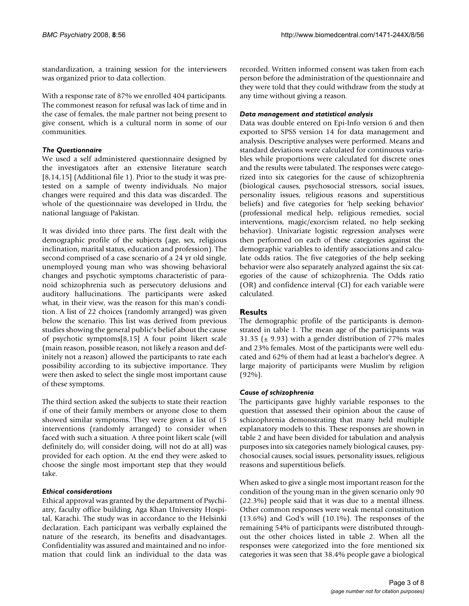standardization, a training session for the interviewers was organized prior to data collection.

With a response rate of 87% we enrolled 404 participants. The commonest reason for refusal was lack of time and in the case of females, the male partner not being present to give consent, which is a cultural norm in some of our communities.

#### *The Questionnaire*

We used a self administered questionnaire designed by the investigators after an extensive literature search [8,14,15] (Additional file 1). Prior to the study it was pretested on a sample of twenty individuals. No major changes were required and this data was discarded. The whole of the questionnaire was developed in Urdu, the national language of Pakistan.

It was divided into three parts. The first dealt with the demographic profile of the subjects (age, sex, religious inclination, marital status, education and profession). The second comprised of a case scenario of a 24 yr old single, unemployed young man who was showing behavioral changes and psychotic symptoms characteristic of paranoid schizophrenia such as persecutory delusions and auditory hallucinations. The participants were asked what, in their view, was the reason for this man's condition. A list of 22 choices (randomly arranged) was given below the scenario. This list was derived from previous studies showing the general public's belief about the cause of psychotic symptoms[8,15] A four point likert scale (main reason, possible reason, not likely a reason and definitely not a reason) allowed the participants to rate each possibility according to its subjective importance. They were then asked to select the single most important cause of these symptoms.

The third section asked the subjects to state their reaction if one of their family members or anyone close to them showed similar symptoms. They were given a list of 15 interventions (randomly arranged) to consider when faced with such a situation. A three point likert scale (will definitely do, will consider doing, will not do at all) was provided for each option. At the end they were asked to choose the single most important step that they would take.

#### *Ethical considerations*

Ethical approval was granted by the department of Psychiatry, faculty office building, Aga Khan University Hospital, Karachi. The study was in accordance to the Helsinki declaration. Each participant was verbally explained the nature of the research, its benefits and disadvantages. Confidentiality was assured and maintained and no information that could link an individual to the data was

recorded. Written informed consent was taken from each person before the administration of the questionnaire and they were told that they could withdraw from the study at any time without giving a reason.

#### *Data management and statistical analysis*

Data was double entered on Epi-Info version 6 and then exported to SPSS version 14 for data management and analysis. Descriptive analyses were performed. Means and standard deviations were calculated for continuous variables while proportions were calculated for discrete ones and the results were tabulated. The responses were categorized into six categories for the cause of schizophrenia (biological causes, psychosocial stressors, social issues, personality issues, religious reasons and superstitious beliefs) and five categories for 'help seeking behavior' (professional medical help, religious remedies, social interventions, magic/exorcism related, no help seeking behavior). Univariate logistic regression analyses were then performed on each of these categories against the demographic variables to identify associations and calculate odds ratios. The five categories of the help seeking behavior were also separately analyzed against the six categories of the cause of schizophrenia. The Odds ratio (OR) and confidence interval (CI) for each variable were calculated.

#### **Results**

The demographic profile of the participants is demonstrated in table 1. The mean age of the participants was 31.35 ( $\pm$  9.93) with a gender distribution of 77% males and 23% females. Most of the participants were well educated and 62% of them had at least a bachelor's degree. A large majority of participants were Muslim by religion (92%).

#### *Cause of schizophrenia*

The participants gave highly variable responses to the question that assessed their opinion about the cause of schizophrenia demonstrating that many held multiple explanatory models to this. These responses are shown in table 2 and have been divided for tabulation and analysis purposes into six categories namely biological causes, psychosocial causes, social issues, personality issues, religious reasons and superstitious beliefs.

When asked to give a single most important reason for the condition of the young man in the given scenario only 90 (22.3%) people said that it was due to a mental illness. Other common responses were weak mental constitution (13.6%) and God's will (10.1%). The responses of the remaining 54% of participants were distributed throughout the other choices listed in table 2. When all the responses were categorized into the fore mentioned six categories it was seen that 38.4% people gave a biological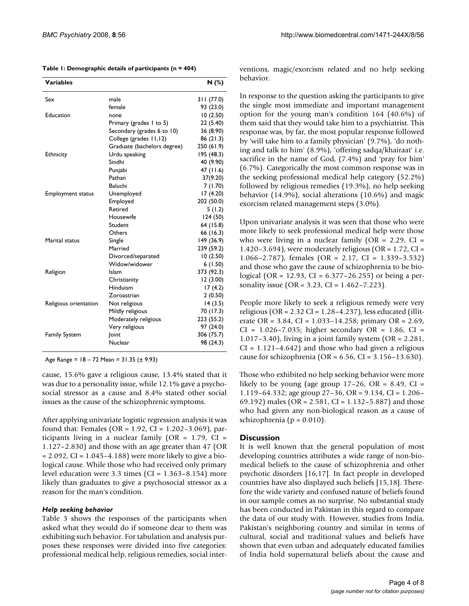| Table 1: Demographic details of participants (n = 404) |  |
|--------------------------------------------------------|--|
|--------------------------------------------------------|--|

| <b>Variables</b>         |                             | N(%)       |
|--------------------------|-----------------------------|------------|
| Sex                      | male                        | 311 (77.0) |
|                          | female                      | 93 (23.0)  |
| Education                | none                        | 10(2.50)   |
|                          | Primary (grades 1 to 5)     | 22 (5.40)  |
|                          | Secondary (grades 6 to 10)  | 36 (8.90)  |
|                          | College (grades 11,12)      | 86(21.3)   |
|                          | Graduate (bachelors degree) | 250 (61.9) |
| Ethnicity                | Urdu speaking               | 195 (48.3) |
|                          | Sindhi                      | 40 (9.90)  |
|                          | Punjabi                     | 47 (11.6)  |
|                          | Pathan                      | 37(9.20)   |
|                          | Baluchi                     | 7(1.70)    |
| <b>Employment status</b> | Unemployed                  | 17 (4.20)  |
|                          | Employed                    | 202 (50.0) |
|                          | Retired                     | 5(1.2)     |
|                          | Housewife                   | 124(50)    |
|                          | Student                     | 64 (15.8)  |
|                          | Others                      | 66 (16.3)  |
| Marital status           | Single                      | 149 (36.9) |
|                          | Married                     | 239 (59.2) |
|                          | Divorced/separated          | 10(2.50)   |
|                          | Widow/widower               | 6(1.50)    |
| Religion                 | Islam                       | 373 (92.3) |
|                          | Christianity                | 12(3.00)   |
|                          | Hinduism                    | 17(4.2)    |
|                          | Zoroastrian                 | 2(0.50)    |
| Religious orientation    | Not religious               | 14(3.5)    |
|                          | Mildly religious            | 70 (17.3)  |
|                          | Moderately religious        | 223 (55.2) |
|                          | Very religious              | 97 (24.0)  |
| <b>Family System</b>     | loint                       | 306 (75.7) |
|                          | Nuclear                     | 98 (24.3)  |
|                          |                             |            |

Age Range =  $18 - 72$  Mean =  $31.35$  ( $\pm$  9.93)

cause, 15.6% gave a religious cause, 13.4% stated that it was due to a personality issue, while 12.1% gave a psychosocial stressor as a cause and 8.4% stated other social issues as the cause of the schizophrenic symptoms.

After applying univariate logistic regression analysis it was found that: Females (OR = 1.92, CI = 1.202–3.069), participants living in a nuclear family (OR =  $1.79$ , CI = 1.127–2.830) and those with an age greater than 47 (OR  $= 2.092$ , CI = 1.045–4.188) were more likely to give a biological cause. While those who had received only primary level education were 3.3 times (CI =  $1.363-8.154$ ) more likely than graduates to give a psychosocial stressor as a reason for the man's condition.

#### *Help seeking behavior*

Table 3 shows the responses of the participants when asked what they would do if someone dear to them was exhibiting such behavior. For tabulation and analysis purposes these responses were divided into five categories: professional medical help, religious remedies, social interventions, magic/exorcism related and no help seeking behavior.

In response to the question asking the participants to give the single most immediate and important management option for the young man's condition 164 (40.6%) of them said that they would take him to a psychiatrist. This response was, by far, the most popular response followed by 'will take him to a family physician' (9.7%), 'do nothing and talk to him' (8.9%), 'offering sadqa/khairaat' i.e. sacrifice in the name of God, (7.4%) and 'pray for him' (6.7%). Categorically the most common response was in the seeking professional medical help category (52.2%) followed by religious remedies (19.3%), no help seeking behavior (14.9%), social alterations (10.6%) and magic exorcism related management steps (3.0%).

Upon univariate analysis it was seen that those who were more likely to seek professional medical help were those who were living in a nuclear family ( $OR = 2.29$ ,  $CI =$ 1.420–3.694), were moderately religious (OR = 1.72, CI = 1.066–2.787), females (OR = 2.17, CI = 1.339–3.532) and those who gave the cause of schizophrenia to be biological (OR = 12.93, CI =  $6.377 - 26.255$ ) or being a personality issue (OR =  $3.23$ , CI =  $1.462 - 7.223$ ).

People more likely to seek a religious remedy were very religious (OR =  $2.32$  CI =  $1.28-4.237$ ), less educated (illiterate OR =  $3.84$ , CI =  $1.033 - 14.258$ ; primary OR =  $2.69$ ,  $CI = 1.026 - 7.035$ ; higher secondary  $OR = 1.86$ ,  $CI =$ 1.017–3.40), living in a joint family system ( $OR = 2.281$ ,  $CI = 1.121 - 4.642$  and those who had given a religious cause for schizophrenia (OR =  $6.56$ , CI =  $3.156 - 13.630$ ).

Those who exhibited no help seeking behavior were more likely to be young (age group  $17-26$ , OR = 8.49, CI = 1.119–64.332; age group 27–36, OR = 9.134, CI = 1.206– 69.192) males (OR =  $2.581$ , CI =  $1.132 - 5.887$ ) and those who had given any non-biological reason as a cause of schizophrenia ( $p = 0.010$ ).

#### **Discussion**

It is well known that the general population of most developing countries attributes a wide range of non-biomedical beliefs to the cause of schizophrenia and other psychotic disorders [16,17]. In fact people in developed countries have also displayed such beliefs [15,18]. Therefore the wide variety and confused nature of beliefs found in our sample comes as no surprise. No substantial study has been conducted in Pakistan in this regard to compare the data of our study with. However, studies from India, Pakistan's neighboring country and similar in terms of cultural, social and traditional values and beliefs have shown that even urban and adequately educated families of India hold supernatural beliefs about the cause and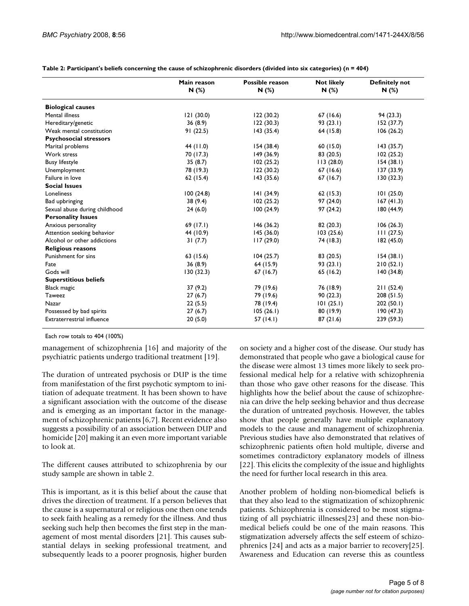|                                   | Main reason | <b>Possible reason</b> | <b>Not likely</b> | <b>Definitely not</b> |
|-----------------------------------|-------------|------------------------|-------------------|-----------------------|
|                                   | N(%)        | N(%)                   | N(%)              | N(%)                  |
| <b>Biological causes</b>          |             |                        |                   |                       |
| Mental illness                    | 121(30.0)   | 122(30.2)              | 67(16.6)          | 94(23.3)              |
| Hereditary/genetic                | 36(8.9)     | 122(30.3)              | 93(23.1)          | 152 (37.7)            |
| Weak mental constitution          | 91(22.5)    | 143(35.4)              | 64 (15.8)         | 106(26.2)             |
| <b>Psychosocial stressors</b>     |             |                        |                   |                       |
| Marital problems                  | 44 (11.0)   | 154(38.4)              | 60 (15.0)         | 143 (35.7)            |
| Work stress                       | 70 (17.3)   | 149(36.9)              | 83 (20.5)         | 102(25.2)             |
| <b>Busy lifestyle</b>             | 35(8.7)     | 102(25.2)              | 113 (28.0)        | 154(38.1)             |
| Unemployment                      | 78 (19.3)   | 122(30.2)              | 67(16.6)          | 137(33.9)             |
| Failure in love                   | 62(15.4)    | 143(35.6)              | 67(16.7)          | 130 (32.3)            |
| <b>Social Issues</b>              |             |                        |                   |                       |
| Loneliness                        | 100(24.8)   | 141(34.9)              | 62(15.3)          | 101(25.0)             |
| Bad upbringing                    | 38 (9.4)    | 102(25.2)              | 97 (24.0)         | 167(41.3)             |
| Sexual abuse during childhood     | 24(6.0)     | 100(24.9)              | 97(24.2)          | 180 (44.9)            |
| <b>Personality Issues</b>         |             |                        |                   |                       |
| Anxious personality               | 69 (17.1)   | 146(36.2)              | 82 (20.3)         | 106(26.3)             |
| Attention seeking behavior        | 44 (10.9)   | 145(36.0)              | 103(25.6)         | 111(27.5)             |
| Alcohol or other addictions       | 31(7.7)     | 117(29.0)              | 74 (18.3)         | 182 (45.0)            |
| <b>Religious reasons</b>          |             |                        |                   |                       |
| Punishment for sins               | 63 (15.6)   | 104(25.7)              | 83 (20.5)         | 154(38.1)             |
| Fate                              | 36(8.9)     | 64 (15.9)              | 93(23.1)          | 210(52.1)             |
| Gods will                         | 130(32.3)   | 67(16.7)               | 65 (16.2)         | 140 (34.8)            |
| <b>Superstitious beliefs</b>      |             |                        |                   |                       |
| <b>Black magic</b>                | 37(9.2)     | 79 (19.6)              | 76 (18.9)         | 211(52.4)             |
| <b>Taweez</b>                     | 27(6.7)     | 79 (19.6)              | 90(22.3)          | 208(51.5)             |
| Nazar                             | 22(5.5)     | 78 (19.4)              | 101(25.1)         | 202(50.1)             |
| Possessed by bad spirits          | 27(6.7)     | 105(26.1)              | 80 (19.9)         | 190(47.3)             |
| <b>Extraterrestrial influence</b> | 20(5.0)     | 57 (14.1)              | 87(21.6)          | 239 (59.3)            |

**Table 2: Participant's beliefs concerning the cause of schizophrenic disorders (divided into six categories) (n = 404)**

Each row totals to 404 (100%)

management of schizophrenia [16] and majority of the psychiatric patients undergo traditional treatment [19].

The duration of untreated psychosis or DUP is the time from manifestation of the first psychotic symptom to initiation of adequate treatment. It has been shown to have a significant association with the outcome of the disease and is emerging as an important factor in the management of schizophrenic patients [6,7]. Recent evidence also suggests a possibility of an association between DUP and homicide [20] making it an even more important variable to look at.

The different causes attributed to schizophrenia by our study sample are shown in table 2.

This is important, as it is this belief about the cause that drives the direction of treatment. If a person believes that the cause is a supernatural or religious one then one tends to seek faith healing as a remedy for the illness. And thus seeking such help then becomes the first step in the management of most mental disorders [21]. This causes substantial delays in seeking professional treatment, and subsequently leads to a poorer prognosis, higher burden

on society and a higher cost of the disease. Our study has demonstrated that people who gave a biological cause for the disease were almost 13 times more likely to seek professional medical help for a relative with schizophrenia than those who gave other reasons for the disease. This highlights how the belief about the cause of schizophrenia can drive the help seeking behavior and thus decrease the duration of untreated psychosis. However, the tables show that people generally have multiple explanatory models to the cause and management of schizophrenia. Previous studies have also demonstrated that relatives of schizophrenic patients often hold multiple, diverse and sometimes contradictory explanatory models of illness [22]. This elicits the complexity of the issue and highlights the need for further local research in this area.

Another problem of holding non-biomedical beliefs is that they also lead to the stigmatization of schizophrenic patients. Schizophrenia is considered to be most stigmatizing of all psychiatric illnesses[23] and these non-biomedical beliefs could be one of the main reasons. This stigmatization adversely affects the self esteem of schizophrenics [24] and acts as a major barrier to recovery[25]. Awareness and Education can reverse this as countless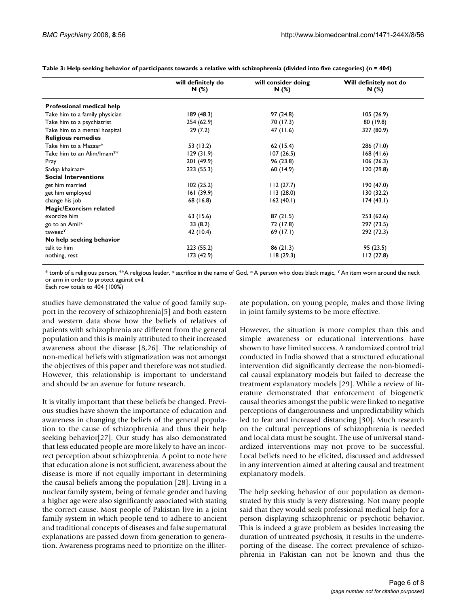|                                        | will definitely do<br>$N(\%)$ | will consider doing<br>N(%) | Will definitely not do<br>N (%) |
|----------------------------------------|-------------------------------|-----------------------------|---------------------------------|
| <b>Professional medical help</b>       |                               |                             |                                 |
| Take him to a family physician         | 189(48.3)                     | 97 (24.8)                   | 105(26.9)                       |
| Take him to a psychiatrist             | 254 (62.9)                    | 70 (17.3)                   | 80(19.8)                        |
| Take him to a mental hospital          | 29(7.2)                       | 47(11.6)                    | 327 (80.9)                      |
| <b>Religious remedies</b>              |                               |                             |                                 |
| Take him to a Mazaar*                  | 53 (13.2)                     | 62 (15.4)                   | 286 (71.0)                      |
| Take him to an Alim/Imam <sup>**</sup> | 129(31.9)                     | 107(26.5)                   | 168(41.6)                       |
| Pray                                   | 201 (49.9)                    | 96 (23.8)                   | 106(26.3)                       |
| Sadqa khairaat $\alpha$                | 223(55.3)                     | 60 (14.9)                   | 120(29.8)                       |
| <b>Social Interventions</b>            |                               |                             |                                 |
| get him married                        | 102(25.2)                     | 112(27.7)                   | 190(47.0)                       |
| get him employed                       | 161(39.9)                     | 113(28.0)                   | 130 (32.2)                      |
| change his job                         | 68 (16.8)                     | 162(40.1)                   | 174(43.1)                       |
| Magic/Exorcism related                 |                               |                             |                                 |
| exorcize him                           | 63 (15.6)                     | 87(21.5)                    | 253(62.6)                       |
| go to an Amil <sup>∞</sup>             | 33(8.2)                       | 72 (17.8)                   | 297 (73.5)                      |
| taweez $\mathbf{r}$                    | 42 (10.4)                     | 69 (17.1)                   | 292 (72.3)                      |
| No help seeking behavior               |                               |                             |                                 |
| talk to him                            | 223 (55.2)                    | 86(21.3)                    | 95 (23.5)                       |
| nothing, rest                          | 173(42.9)                     | 118(29.3)                   | 112(27.8)                       |

**Table 3: Help seeking behavior of participants towards a relative with schizophrenia (divided into five categories) (n = 404)**

\* tomb of a religious person, \*\*A religious leader,  $\alpha$  sacrifice in the name of God,  $\alpha$  A person who does black magic,  $\gamma$  An item worn around the neck or arm in order to protect against evil.

Each row totals to 404 (100%)

studies have demonstrated the value of good family support in the recovery of schizophrenia[5] and both eastern and western data show how the beliefs of relatives of patients with schizophrenia are different from the general population and this is mainly attributed to their increased awareness about the disease [8,26]. The relationship of non-medical beliefs with stigmatization was not amongst the objectives of this paper and therefore was not studied. However, this relationship is important to understand and should be an avenue for future research.

It is vitally important that these beliefs be changed. Previous studies have shown the importance of education and awareness in changing the beliefs of the general population to the cause of schizophrenia and thus their help seeking behavior[27]. Our study has also demonstrated that less educated people are more likely to have an incorrect perception about schizophrenia. A point to note here that education alone is not sufficient, awareness about the disease is more if not equally important in determining the causal beliefs among the population [28]. Living in a nuclear family system, being of female gender and having a higher age were also significantly associated with stating the correct cause. Most people of Pakistan live in a joint family system in which people tend to adhere to ancient and traditional concepts of diseases and false supernatural explanations are passed down from generation to generation. Awareness programs need to prioritize on the illiterate population, on young people, males and those living in joint family systems to be more effective.

However, the situation is more complex than this and simple awareness or educational interventions have shown to have limited success. A randomized control trial conducted in India showed that a structured educational intervention did significantly decrease the non-biomedical causal explanatory models but failed to decrease the treatment explanatory models [29]. While a review of literature demonstrated that enforcement of biogenetic causal theories amongst the public were linked to negative perceptions of dangerousness and unpredictability which led to fear and increased distancing [30]. Much research on the cultural perceptions of schizophrenia is needed and local data must be sought. The use of universal standardized interventions may not prove to be successful. Local beliefs need to be elicited, discussed and addressed in any intervention aimed at altering causal and treatment explanatory models.

The help seeking behavior of our population as demonstrated by this study is very distressing. Not many people said that they would seek professional medical help for a person displaying schizophrenic or psychotic behavior. This is indeed a grave problem as besides increasing the duration of untreated psychosis, it results in the underreporting of the disease. The correct prevalence of schizophrenia in Pakistan can not be known and thus the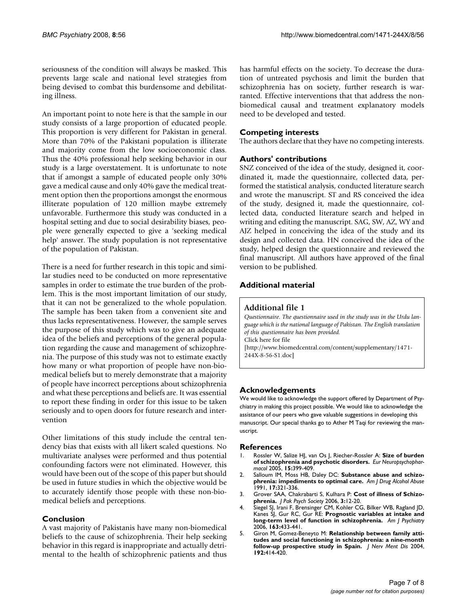seriousness of the condition will always be masked. This prevents large scale and national level strategies from being devised to combat this burdensome and debilitating illness.

An important point to note here is that the sample in our study consists of a large proportion of educated people. This proportion is very different for Pakistan in general. More than 70% of the Pakistani population is illiterate and majority come from the low socioeconomic class. Thus the 40% professional help seeking behavior in our study is a large overstatement. It is unfortunate to note that if amongst a sample of educated people only 30% gave a medical cause and only 40% gave the medical treatment option then the proportions amongst the enormous illiterate population of 120 million maybe extremely unfavorable. Furthermore this study was conducted in a hospital setting and due to social desirability biases, people were generally expected to give a 'seeking medical help' answer. The study population is not representative of the population of Pakistan.

There is a need for further research in this topic and similar studies need to be conducted on more representative samples in order to estimate the true burden of the problem. This is the most important limitation of our study, that it can not be generalized to the whole population. The sample has been taken from a convenient site and thus lacks representativeness. However, the sample serves the purpose of this study which was to give an adequate idea of the beliefs and perceptions of the general population regarding the cause and management of schizophrenia. The purpose of this study was not to estimate exactly how many or what proportion of people have non-biomedical beliefs but to merely demonstrate that a majority of people have incorrect perceptions about schizophrenia and what these perceptions and beliefs are. It was essential to report these finding in order for this issue to be taken seriously and to open doors for future research and intervention

Other limitations of this study include the central tendency bias that exists with all likert scaled questions. No multivariate analyses were performed and thus potential confounding factors were not eliminated. However, this would have been out of the scope of this paper but should be used in future studies in which the objective would be to accurately identify those people with these non-biomedical beliefs and perceptions.

#### **Conclusion**

A vast majority of Pakistanis have many non-biomedical beliefs to the cause of schizophrenia. Their help seeking behavior in this regard is inappropriate and actually detrimental to the health of schizophrenic patients and thus

has harmful effects on the society. To decrease the duration of untreated psychosis and limit the burden that schizophrenia has on society, further research is warranted. Effective interventions that that address the nonbiomedical causal and treatment explanatory models need to be developed and tested.

#### **Competing interests**

The authors declare that they have no competing interests.

#### **Authors' contributions**

SNZ conceived of the idea of the study, designed it, coordinated it, made the questionnaire, collected data, performed the statistical analysis, conducted literature search and wrote the manuscript. ST and RS conceived the idea of the study, designed it, made the questionnaire, collected data, conducted literature search and helped in writing and editing the manuscript. SAG, SW, AZ, WY and AJZ helped in conceiving the idea of the study and its design and collected data. HN conceived the idea of the study, helped design the questionnaire and reviewed the final manuscript. All authors have approved of the final version to be published.

#### **Additional material**

#### **Additional file 1**

*Questionnaire. The questionnaire used in the study was in the Urdu language which is the national language of Pakistan. The English translation of this questionnaire has been provided.* Click here for file [\[http://www.biomedcentral.com/content/supplementary/1471-](http://www.biomedcentral.com/content/supplementary/1471-244X-8-56-S1.doc)

244X-8-56-S1.doc]

#### **Acknowledgements**

We would like to acknowledge the support offered by Department of Psychiatry in making this project possible. We would like to acknowledge the assistance of our peers who gave valuable suggestions in developing this manuscript. Our special thanks go to Ather M Taqi for reviewing the manuscript.

#### **References**

- 1. Rossler W, Salize HJ, van Os J, Riecher-Rossler A: **[Size of burden](http://www.ncbi.nlm.nih.gov/entrez/query.fcgi?cmd=Retrieve&db=PubMed&dopt=Abstract&list_uids=15925493) [of schizophrenia and psychotic disorders.](http://www.ncbi.nlm.nih.gov/entrez/query.fcgi?cmd=Retrieve&db=PubMed&dopt=Abstract&list_uids=15925493)** *Eur Neuropsychopharmacol* 2005, **15:**399-409.
- 2. Salloum IM, Moss HB, Daley DC: **[Substance abuse and schizo](http://www.ncbi.nlm.nih.gov/entrez/query.fcgi?cmd=Retrieve&db=PubMed&dopt=Abstract&list_uids=1928026)[phrenia: impediments to optimal care.](http://www.ncbi.nlm.nih.gov/entrez/query.fcgi?cmd=Retrieve&db=PubMed&dopt=Abstract&list_uids=1928026)** *Am J Drug Alcohol Abuse* 1991, **17:**321-336.
- 3. Grover SAA, Chakrabarti S, Kulhara P: **Cost of illness of Schizophrenia.** *J Pak Psych Society* 2006, **3:**12-20.
- 4. Siegel SJ, Irani F, Brensinger CM, Kohler CG, Bilker WB, Ragland JD, Kanes SJ, Gur RC, Gur RE: **[Prognostic variables at intake and](http://www.ncbi.nlm.nih.gov/entrez/query.fcgi?cmd=Retrieve&db=PubMed&dopt=Abstract&list_uids=16513864) [long-term level of function in schizophrenia.](http://www.ncbi.nlm.nih.gov/entrez/query.fcgi?cmd=Retrieve&db=PubMed&dopt=Abstract&list_uids=16513864)** *Am J Psychiatry* 2006, **163:**433-441.
- 5. Giron M, Gomez-Beneyto M: **[Relationship between family atti](http://www.ncbi.nlm.nih.gov/entrez/query.fcgi?cmd=Retrieve&db=PubMed&dopt=Abstract&list_uids=15167404)[tudes and social functioning in schizophrenia: a nine-month](http://www.ncbi.nlm.nih.gov/entrez/query.fcgi?cmd=Retrieve&db=PubMed&dopt=Abstract&list_uids=15167404) [follow-up prospective study in Spain.](http://www.ncbi.nlm.nih.gov/entrez/query.fcgi?cmd=Retrieve&db=PubMed&dopt=Abstract&list_uids=15167404)** *J Nerv Ment Dis* 2004, **192:**414-420.